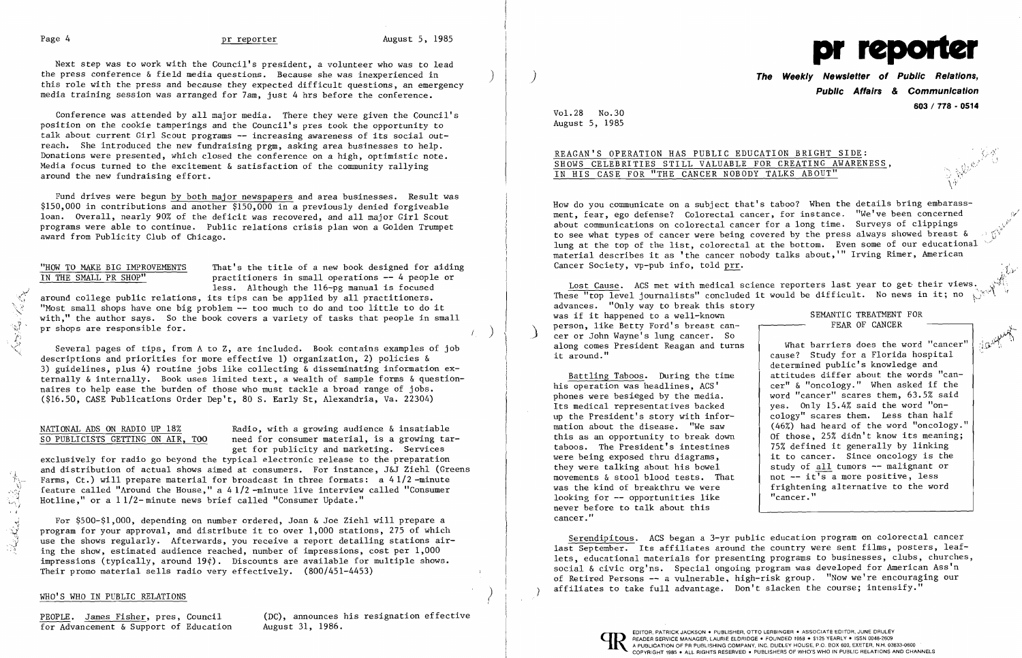$\mathcal{C}^{\mathcal{I}}$ 

Conference was attended by all major media. There they were given the Council's position on the cookie tamperings and the Council's pres took the opportunity to talk about current Girl Scout programs -- increasing awareness of its social outreach. She introduced the new fundraising prgm, asking area businesses to help. Donations were presented, which closed the conference on a high, optimistic note. Media focus turned to the excitement & satisfaction of the community rallying around the new fundraising effort.

 around college public relations, its tips can be applied by all practitioners. "Most small shops have one big problem  $-$  too much to do and too little to do it with," the author says. So the book covers a variety of tasks that people in small  $\mathbb{R}^3$  pr shops are responsible for.  $\mathbb{R}^3$  (b)

Fund drives were begun by both major newspapers and area businesses. Result was \$150,000 in contributions and another \$150,000 in a previously denied forgiveable loan. Overall, nearly 90% of the deficit was recovered, and all major Girl Scout programs were able to continue. Public relations crisis plan won a Golden Trumpet award from Publicity Club of Chicago.

"HOW TO MAKE BIG IMPROVEMENTS<br>IN THE SMALL PR SHOP" practitioners in small operations -- 4 people or practitioners in small operations -- 4 people or less. Although the  $116$ -pg manual is focused

Several pages of tips, from A to Z, are included. Book contains examples of job descriptions and priorities for more effective 1) organization, 2) policies & 3) guidelines, plus 4) routine jobs like collecting & disseminating information externally & internally. Book uses limited text, a wealth of sample forms & questionnaires to help ease the burden of those who must tackle a broad range of jobs. (\$16.50, CASE Publications Order Dep't, 80 S. Early St, Alexandria, Va. 22304)

NATIONAL ADS ON RADIO UP 18% Radio, with a growing audience & insatiable<br>SO PUBLICISTS GETTING ON AIR, TOO need for consumer material, is a growing tap need for consumer material, is a growing target for publicity and marketing. Services

exclusively for radio go beyond the typical electronic release to the preparation and distribution of actual shows aimed at consumers. For instance, J&J Ziehl (Greens Farms, Ct.) will prepare material for broadcast in three formats: a 41/2-minute feature called "Around the House," a 41/2-minute live in

 $\frac{1}{3}$  For \$500-\$1,000, depending on number ordered, Joan & Joe Ziehl will prepare a  $\hat{N}$  program for your approval, and distribute it to over 1,000 stations, 275 of which use the shows regularly. Afterwards, you receive a report detailing stations airing the show, estimated audience reached, number of impressions, cost per  $1,000$ impressions (typically, around  $19¢$ ). Discounts are available for multiple shows. Their promo material sells radio very effectively. (800/451-4453)

# WHO'S WHO IN PUBLIC RELATIONS

PEOPLE. James Fisher, pres, Council (DC), announces his resignation effective<br>for Advancement & Support of Education (August 31, 1986.

**The Weekly Newsletter of Public Relations, Public Affairs & Communication 603/ 778 - 0514** 

# REAGAN'S OPERATION HAS PUBLIC EDUCATION BRIGHT SIDE: SHOWS CELEBRITIES STILL VALUABLE FOR CREATING AWARENESS, IN HIS CASE FOR "THE CANCER NOBODY TALKS ABOUT"

How do you communicate on a subject that's taboo? When the details bring embarassment, fear, ego defense? Colorectal cancer, for instance. "We've been concerned about communications on colorectal cancer for a long time. Surveys of clippings to see what types of cancer were being covered by the press always showed breast  $\&$ lung at the top of the list, colorectal at the bottom. Even some of our educational material describes it as 'the cancer nobody talks about,'" Irving Rimer, American Cancer Society, vp-pub info, told prr.

Lost Cause. ACS met with medical science reporters last year to get their views. These "top level journalists" concluded it would be difficult. No news in it; no advances. "Only way to break this story was if it happened to a well-known person, like Betty Ford's breast can-<br>cer or John Wayne's lung cancer. So along comes President Reagan and turns it around." SEMANTIC TREATMENT FOR FEAR OF CANCER What barriers does the word "cancer" cause? Study for a Florida hospital  $\ddot{\phantom{0}}$ 

0....'."-.

 $\cdot$  ,  $\cdot$ 

Next step was to work with the Council's president, a volunteer who was to lead the press conference  $\delta$  field media questions. Because she was inexperienced in this role with the press and because they expected difficult questions, an emergency media training session was arranged for 7am, just 4 hrs before the conference.

> Serendipitous. ACS began a 3-yr public education program on colorectal cancer last September. Its affiliates around the country were sent films, posters, leaflets, educational materials for presenting programs to businesses, clubs, churches, social & civic org'ns. Special ongoing program was developed for American Ass'n of Retired Persons -- a vulnerable, high-risk group. "Now we're encouraging our affiliates to take full advantage. Don't slacken the course; intensify."



Vol. 28 No. 30 August 5, 1985

,"

 $\int_{\Omega} \mathcal{D}^{\mu\nu}$ 

-, v,.-'

 $\setminus Y$ 

Battling Taboos. During the time his operation was headlines, ACS' phones were besieged by the media. Its medical representatives backed up the President's story with information about the disease. "We saw this as an opportunity to break down taboos. The President's intestines were being exposed thru diagrams, they were talking about his bowel movements & stool blood tests. That was the kind of breakthru we were looking for -- opportunities like never before to talk about this cancer."

determined public's knowledge and attitudes differ about the words "cancer" & "oncology." When asked if the word "cancer" scares them, 63.5% said yes. Only 15.4% said the word "oncology" scares them. Less than half (46%) had heard of the word "oncology." Of those, 25% didn't know its meaning; 75% defined it generally by linking it to cancer. Since oncology is the study of all tumors -- malignant or not  $-$  it's a more positive, less frightening alternative to the word "cancer."